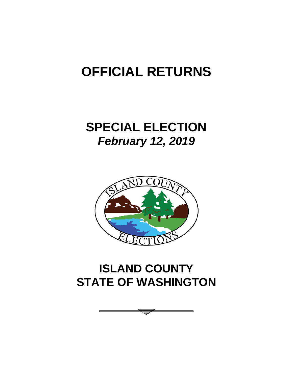# **OFFICIAL RETURNS**

# **SPECIAL ELECTION** *February 12, 2019*



# **ISLAND COUNTY STATE OF WASHINGTON**

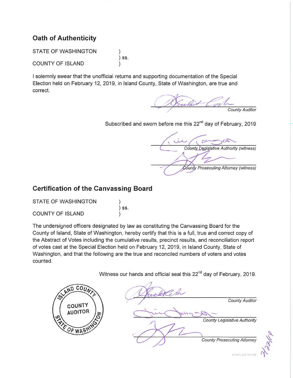# **Oath of Authenticity**

**STATE OF WASHINGTON** 

**COUNTY OF ISLAND** 

I solemnly swear that the unofficial returns and supporting documentation of the Special Election held on February 12, 2019, in Island County, State of Washington, are true and correct.

 $)$  ss.

County Auditor

Subscribed and sworn before me this 22<sup>nd</sup> day of February, 2019

County Legislative Authority (witness) County Prosecuting Attorney (witness)

## **Certification of the Canvassing Board**

STATE OF WASHINGTON  $)$  ss. **COUNTY OF ISLAND** 

The undersigned officers designated by law as constituting the Canvassing Board for the County of Island, State of Washington, hereby certify that this is a full, true and correct copy of the Abstract of Votes including the cumulative results, precinct results, and reconciliation report of votes cast at the Special Election held on February 12, 2019, in Island County, State of Washington, and that the following are the true and reconciled numbers of voters and votes counted.

Witness our hands and official seal this 22<sup>nd</sup> day of February, 2019.



8/2012: 434-267-67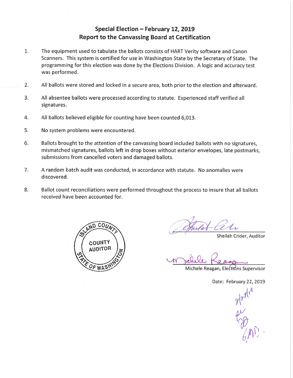### Special Election - February 12, 2019 **Report to the Canvassing Board at Certification**

- $1.$ The equipment used to tabulate the ballots consists of HART Verity software and Canon Scanners. This system is certified for use in Washington State by the Secretary of State. The programming for this election was done by the Elections Division. A logic and accuracy test was performed.
- $2.$ All ballots were stored and locked in a secure area, both prior to the election and afterward.
- 3. All absentee ballots were processed according to statute. Experienced staff verified all signatures.
- All ballots believed eligible for counting have been counted 6,013. 4.
- 5. No system problems were encountered.
- 6. Ballots brought to the attention of the canvassing board included ballots with no signatures, mismatched signatures, ballots left in drop boxes without exterior envelopes, late postmarks, submissions from cancelled voters and damaged ballots.
- A random batch audit was conducted, in accordance with statute. No anomalies were 7. discovered.
- 8. Ballot count reconciliations were performed throughout the process to insure that all ballots received have been accounted for.



Sheilah Crider, Auditor

Michele Reagan, Elections Supervisor

Date: February 22, 2019

Alami<br>Pal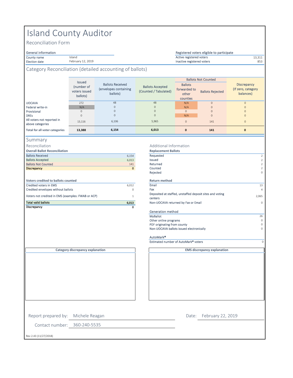# Island County Auditor

Island February 12, 2019

Reconciliation Form

# General information<br>County name

County name 23,311 and the state of the state of the state of the county of the state of the state of the state of the state of the state of the state of the state of the state of the state of the state of the state of the

Election date **853** February 12, 2019 **Burnet Contract Contract Contract Contract Contract Contract Contract Voters** 

#### Category Reconciliation (detailed accounting of ballots)

|                                                | <b>Issued</b>                           |                                                              |                                                  |                                                     | <b>Ballots Not Counted</b> |                                                       |  |
|------------------------------------------------|-----------------------------------------|--------------------------------------------------------------|--------------------------------------------------|-----------------------------------------------------|----------------------------|-------------------------------------------------------|--|
|                                                | (number of<br>voters issued<br>ballots) | <b>Ballots Received</b><br>(envelopes containing<br>ballots) | <b>Ballots Accepted</b><br>(Counted / Tabulated) | <b>Ballots</b><br>forwarded to<br>other<br>counties | <b>Ballots Rejected</b>    | <b>Discrepancy</b><br>(If zero, category<br>balances) |  |
| <b>UOCAVA</b>                                  | 272                                     | 48                                                           | 48                                               | N/A                                                 | $\mathbf{0}$               | $\Omega$                                              |  |
| Federal write-in                               | N/A                                     | $\circ$                                                      | $\mathbf{0}$                                     | N/A                                                 | $\mathbf{0}$               | $\Omega$                                              |  |
| Provisional                                    | $\Omega$                                | $\Omega$                                                     | $\mathbf{0}$                                     | $\mathbf{0}$                                        | $\mathbf{0}$               | $\Omega$                                              |  |
| <b>DREs</b>                                    | 0                                       | 0                                                            | $\mathsf{O}\xspace$                              | N/A                                                 | $\mathbf{0}$               | $\Omega$                                              |  |
| All voters not reported in<br>above categories | 13,116                                  | 6.106                                                        | 5,965                                            | $\mathbf{0}$                                        | 141                        | $\Omega$                                              |  |
| Total for all voter categories                 | 13,388                                  | 6,154                                                        | 6,013                                            | $\mathbf 0$                                         | 141                        | $\mathbf{0}$                                          |  |

#### Summary

Reconciliation

| Discrepancy                                        | $\mathbf 0$ |                                    |
|----------------------------------------------------|-------------|------------------------------------|
| <b>Total valid ballots</b>                         | 6,013       | Non-UOCAVA returned                |
| Voters not credited in EMS (examples: FWAB or ACP) | 1           | Deposited at staffed, u<br>centers |
| Credited envelopes without ballots                 | 0           | Fax                                |
| Credited voters in EMS                             | 6.012       | Email                              |
| Voters credited to ballots counted                 |             | <b>Return method</b>               |
|                                                    |             | Rejected                           |
| <b>Discrepancy</b>                                 | $\mathbf 0$ | Counted                            |
| <b>Ballots Not Counted</b>                         | 141         | Returned                           |
| <b>Ballots Accepted</b>                            | 6.013       | Issued                             |
| <b>Ballots Received</b>                            | 6.154       | Requested                          |
| <b>Overall Ballot Reconciliation</b>               |             | <b>Replacement Ballots</b>         |

#### Additional Information

| <b>Overall Ballot Reconciliation</b>               |             | <b>Replacement Ballots</b>                                          |                |
|----------------------------------------------------|-------------|---------------------------------------------------------------------|----------------|
| <b>Ballots Received</b>                            | 6,154       | Requested                                                           | $\overline{2}$ |
| <b>Ballots Accepted</b>                            | 6,013       | <b>Issued</b>                                                       | $\overline{2}$ |
| <b>Ballots Not Counted</b>                         | 141         | Returned                                                            | $\overline{2}$ |
| <b>Discrepancy</b>                                 | $\mathbf 0$ | Counted                                                             | $\mathbf{2}$   |
|                                                    |             | Rejected                                                            | $\circ$        |
| <b>Voters credited to ballots counted</b>          |             | <b>Return method</b>                                                |                |
| <b>Credited voters in EMS</b>                      | 6,012       | Email                                                               | 13             |
| Credited envelopes without ballots                 | $\Omega$    | Fax                                                                 | $\overline{4}$ |
| Voters not credited in EMS (examples: FWAB or ACP) |             | Deposited at staffed, unstaffed deposit sites and voting<br>centers | 2,065          |
| <b>Total valid ballots</b>                         | 6,013       | Non-UOCAVA returned by Fax or Email                                 | $\circ$        |
| Discrepancy                                        | $\Omega$    |                                                                     |                |
|                                                    |             | Generation method                                                   |                |
|                                                    |             | <b>MyBallot</b>                                                     | 26             |
|                                                    |             | Other online programs                                               | $\Omega$       |
|                                                    |             | PDF originating from county                                         | $\Omega$       |
|                                                    |             | Non-UOCAVA ballots issued electronically                            | 0              |
|                                                    |             | AutoMark <sup>®</sup>                                               |                |
|                                                    |             | Estimated number of AutoMark <sup>®</sup> voters                    | 0              |

Registered voters eligible to participate

**Category discrepancy explanation**

**EMS discrepancy explanation**

Contact number: 360-240-5535 Rev 2.43 (11/27/2018) Report prepared by: Michele Reagan Date: February 22, 2019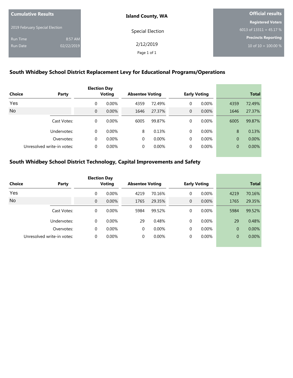| <b>Cumulative Results</b>      |            | <b>Island County, WA</b> | <b>Official results</b>    |  |  |
|--------------------------------|------------|--------------------------|----------------------------|--|--|
|                                |            |                          | <b>Registered Voters</b>   |  |  |
| 2019 February Special Election |            | Special Election         | 6013 of $13311 = 45.17 %$  |  |  |
| <b>Run Time</b>                | 8:57 AM    |                          | <b>Precincts Reporting</b> |  |  |
| Run Date                       | 02/22/2019 | 2/12/2019                | 10 of $10 = 100.00 %$      |  |  |
|                                |            | Page 1 of 1              |                            |  |  |

## **South Whidbey School District Replacement Levy for Educational Programs/Operations**

|                 |                            |                | <b>Election Day</b> |                        |          |                |                     |                |        |
|-----------------|----------------------------|----------------|---------------------|------------------------|----------|----------------|---------------------|----------------|--------|
| Choice<br>Party |                            | Voting         |                     | <b>Absentee Voting</b> |          |                | <b>Early Voting</b> | <b>Total</b>   |        |
| Yes             |                            | 0              | $0.00\%$            | 4359                   | 72.49%   | 0              | $0.00\%$            | 4359           | 72.49% |
| <b>No</b>       |                            | $\overline{0}$ | 0.00%               | 1646                   | 27.37%   | $\overline{0}$ | $0.00\%$            | 1646           | 27.37% |
|                 | Cast Votes:                | 0              | $0.00\%$            | 6005                   | 99.87%   | 0              | $0.00\%$            | 6005           | 99.87% |
|                 | Undervotes:                | $\Omega$       | 0.00%               | 8                      | 0.13%    | $\Omega$       | 0.00%               | 8              | 0.13%  |
|                 | Overvotes:                 | 0              | $0.00\%$            | 0                      | $0.00\%$ | 0              | $0.00\%$            | $\overline{0}$ | 0.00%  |
|                 | Unresolved write-in votes: | $\Omega$       | $0.00\%$            | 0                      | $0.00\%$ | 0              | $0.00\%$            | $\overline{0}$ | 0.00%  |

|                 |                            |              | <b>Election Day</b> |          |                        |                |                     |                |        |  |
|-----------------|----------------------------|--------------|---------------------|----------|------------------------|----------------|---------------------|----------------|--------|--|
| Choice<br>Party |                            |              | Voting              |          | <b>Absentee Voting</b> |                | <b>Early Voting</b> | <b>Total</b>   |        |  |
| Yes             |                            | 0            | $0.00\%$            | 4219     | 70.16%                 | $\Omega$       | $0.00\%$            | 4219           | 70.16% |  |
| No              |                            | $\mathbf{0}$ | 0.00%               | 1765     | 29.35%                 | $\overline{0}$ | 0.00%               | 1765           | 29.35% |  |
|                 | Cast Votes:                | $\Omega$     | $0.00\%$            | 5984     | 99.52%                 | 0              | $0.00\%$            | 5984           | 99.52% |  |
|                 | Undervotes:                | $\Omega$     | $0.00\%$            | 29       | 0.48%                  | $\Omega$       | $0.00\%$            | 29             | 0.48%  |  |
|                 | Overvotes:                 | $\Omega$     | $0.00\%$            | $\Omega$ | 0.00%                  | $\Omega$       | 0.00%               | 0              | 0.00%  |  |
|                 | Unresolved write-in votes: | 0            | $0.00\%$            | $\Omega$ | 0.00%                  | 0              | $0.00\%$            | $\overline{0}$ | 0.00%  |  |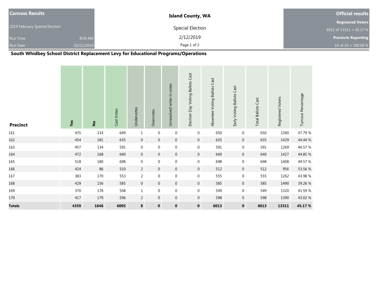| <b>Canvass Results</b>         |            | <b>Island County, WA</b> | <b>Official results</b>    |  |  |
|--------------------------------|------------|--------------------------|----------------------------|--|--|
|                                |            |                          | <b>Registered Voters</b>   |  |  |
| 2019 February Special Election |            | Special Election         | 6013 of $13311 = 45.17 %$  |  |  |
| <b>Run Time</b>                | 8:59 AM    | 2/12/2019                | <b>Precincts Reporting</b> |  |  |
| <b>Run Date</b>                | 02/22/2019 | Page 1 of 2              | 10 of $10 = 100.00 %$      |  |  |

**South Whidbey School District Replacement Levy for Educational Programs/Operations**

| <b>Precinct</b> | Yes  | $\frac{1}{2}$ | Cast Votes | Undervotes     | Overvotes      | Unresolved write-in votes | Election Day Voting Ballots Cast | Absentee Voting Ballots Cast | Early Voting Ballots Cast | <b>Total Ballots Cast</b> | Registered Voters | Turnout Percentage |
|-----------------|------|---------------|------------|----------------|----------------|---------------------------|----------------------------------|------------------------------|---------------------------|---------------------------|-------------------|--------------------|
| 161             | 435  | 214           | 649        | $\mathbf 1$    | $\mathbf 0$    | $\boldsymbol{0}$          | $\boldsymbol{0}$                 | 650                          | $\boldsymbol{0}$          | 650                       | 1360              | 47.79 %            |
| 162             | 454  | 181           | 635        | $\mathbf 0$    | $\overline{0}$ | $\overline{0}$            | $\mathbf 0$                      | 635                          | $\mathbf 0$               | 635                       | 1429              | 44.44 %            |
| 163             | 457  | 134           | 591        | $\mathbf 0$    | $\mathbf 0$    | $\mathbf 0$               | $\boldsymbol{0}$                 | 591                          | $\mathbf 0$               | 591                       | 1269              | 46.57 %            |
| 164             | 472  | 168           | 640        | $\overline{0}$ | $\overline{0}$ | $\overline{0}$            | $\mathbf 0$                      | 640                          | $\mathbf 0$               | 640                       | 1427              | 44.85 %            |
| 165             | 518  | 180           | 698        | $\mathbf 0$    | $\mathbf 0$    | $\mathbf 0$               | $\boldsymbol{0}$                 | 698                          | $\boldsymbol{0}$          | 698                       | 1408              | 49.57 %            |
| 166             | 424  | 86            | 510        | $\overline{2}$ | $\mathbf 0$    | $\mathbf 0$               | $\boldsymbol{0}$                 | 512                          | $\boldsymbol{0}$          | 512                       | 956               | 53.56 %            |
| 167             | 383  | 170           | 553        | $\overline{2}$ | $\mathbf 0$    | $\mathbf 0$               | $\boldsymbol{0}$                 | 555                          | $\mathbf 0$               | 555                       | 1262              | 43.98%             |
| 168             | 429  | 156           | 585        | $\overline{0}$ | $\mathbf 0$    | $\mathbf 0$               | $\mathbf 0$                      | 585                          | $\mathbf 0$               | 585                       | 1490              | 39.26 %            |
| 169             | 370  | 178           | 548        | $\mathbf{1}$   | $\mathbf 0$    | $\boldsymbol{0}$          | $\boldsymbol{0}$                 | 549                          | $\boldsymbol{0}$          | 549                       | 1320              | 41.59%             |
| 170             | 417  | 179           | 596        | $\overline{2}$ | $\mathbf 0$    | 0                         | $\mathbf 0$                      | 598                          | $\boldsymbol{0}$          | 598                       | 1390              | 43.02%             |
| <b>Totals</b>   | 4359 | 1646          | 6005       | 8              | $\mathbf 0$    | $\mathbf 0$               | $\mathbf 0$                      | 6013                         | $\mathbf 0$               | 6013                      | 13311             | 45.17%             |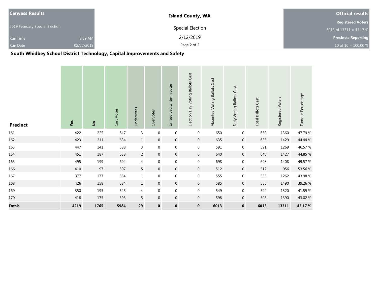| <b>Canvass Results</b>         |            | <b>Island County, WA</b> | <b>Official results</b>              |  |  |
|--------------------------------|------------|--------------------------|--------------------------------------|--|--|
|                                |            |                          | <b>Registered Voters</b>             |  |  |
| 2019 February Special Election |            | Special Election         | 6013 of $1331\overline{1}$ = 45.17 % |  |  |
| <b>Run Time</b>                | 8:59 AM    | 2/12/2019                | <b>Precincts Reporting</b>           |  |  |
| <b>Run Date</b>                | 02/22/2019 | Page 2 of 2              | 10 of $10 = 100.00 %$                |  |  |

| <b>Precinct</b> | Yes  | $\frac{1}{2}$ | Cast Votes | Undervotes      | Overvotes        | Unresolved write-in votes | Election Day Voting Ballots Cast | Absentee Voting Ballots Cast | Early Voting Ballots Cast | <b>Total Ballots Cast</b> | Registered Voters | Turnout Percentage |
|-----------------|------|---------------|------------|-----------------|------------------|---------------------------|----------------------------------|------------------------------|---------------------------|---------------------------|-------------------|--------------------|
| 161             | 422  | 225           | 647        | 3               | $\boldsymbol{0}$ | $\boldsymbol{0}$          | $\boldsymbol{0}$                 | 650                          | $\boldsymbol{0}$          | 650                       | 1360              | 47.79 %            |
| 162             | 423  | $211\,$       | 634        | $\mathbf{1}$    | $\overline{0}$   | $\boldsymbol{0}$          | $\mathbf 0$                      | 635                          | $\boldsymbol{0}$          | 635                       | 1429              | 44.44 %            |
| 163             | 447  | 141           | 588        | 3               | $\mathbf 0$      | $\mathbf 0$               | $\boldsymbol{0}$                 | 591                          | $\boldsymbol{0}$          | 591                       | 1269              | 46.57 %            |
| 164             | 451  | 187           | 638        | $\overline{2}$  | $\overline{0}$   | $\overline{0}$            | $\mathbf 0$                      | 640                          | $\boldsymbol{0}$          | 640                       | 1427              | 44.85 %            |
| 165             | 495  | 199           | 694        | $\overline{4}$  | $\mathbf 0$      | $\boldsymbol{0}$          | $\boldsymbol{0}$                 | 698                          | $\boldsymbol{0}$          | 698                       | 1408              | 49.57 %            |
| 166             | 410  | 97            | 507        | $5\overline{)}$ | $\overline{0}$   | $\overline{0}$            | $\mathbf 0$                      | 512                          | $\boldsymbol{0}$          | 512                       | 956               | 53.56 %            |
| 167             | 377  | 177           | 554        | $\mathbf{1}$    | $\mathbf 0$      | $\mathbf 0$               | $\boldsymbol{0}$                 | 555                          | $\boldsymbol{0}$          | 555                       | 1262              | 43.98%             |
| 168             | 426  | 158           | 584        | $\mathbf{1}$    | $\overline{0}$   | $\mathbf 0$               | $\mathbf{0}$                     | 585                          | $\mathbf 0$               | 585                       | 1490              | 39.26 %            |
| 169             | 350  | 195           | 545        | $\overline{4}$  | $\mathbf 0$      | $\boldsymbol{0}$          | $\boldsymbol{0}$                 | 549                          | $\boldsymbol{0}$          | 549                       | 1320              | 41.59%             |
| 170             | 418  | 175           | 593        | 5               | $\overline{0}$   | $\boldsymbol{0}$          | $\boldsymbol{0}$                 | 598                          | $\boldsymbol{0}$          | 598                       | 1390              | 43.02 %            |
| <b>Totals</b>   | 4219 | 1765          | 5984       | 29              | $\mathbf 0$      | $\mathbf 0$               | $\mathbf 0$                      | 6013                         | $\mathbf 0$               | 6013                      | 13311             | 45.17%             |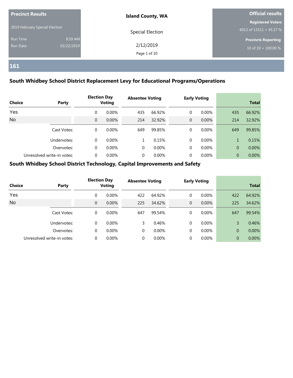| <b>Precinct Results</b>        |            | <b>Island County, WA</b> | Official results           |  |  |
|--------------------------------|------------|--------------------------|----------------------------|--|--|
|                                |            |                          | <b>Registered Voters</b>   |  |  |
| 2019 February Special Election |            | Special Election         | 6013 of $13311 = 45.17 %$  |  |  |
| Run Time                       | 8:59 AM    |                          | <b>Precincts Reporting</b> |  |  |
| Run Date                       | 02/22/2019 | 2/12/2019                | 10 of $10 = 100.00 %$      |  |  |
|                                |            | Page 1 of 10             |                            |  |  |

#### **South Whidbey School District Replacement Levy for Educational Programs/Operations**

| <b>Choice</b><br>Party |                            |          | <b>Election Day</b><br>Voting |     | <b>Absentee Voting</b> |   | <b>Early Voting</b> |          | <b>Total</b> |  |
|------------------------|----------------------------|----------|-------------------------------|-----|------------------------|---|---------------------|----------|--------------|--|
| Yes                    |                            | 0        | $0.00\%$                      | 435 | 66.92%                 | 0 | $0.00\%$            | 435      | 66.92%       |  |
| <b>No</b>              |                            | $\Omega$ | 0.00%                         | 214 | 32.92%                 | 0 | $0.00\%$            | 214      | 32.92%       |  |
|                        | Cast Votes:                | 0        | 0.00%                         | 649 | 99.85%                 | 0 | $0.00\%$            | 649      | 99.85%       |  |
|                        | Undervotes:                | 0        | $0.00\%$                      |     | 0.15%                  | 0 | 0.00%               |          | 0.15%        |  |
|                        | Overvotes:                 | 0        | 0.00%                         | 0   | 0.00%                  | 0 | 0.00%               | $\Omega$ | 0.00%        |  |
|                        | Unresolved write-in votes: | 0        | 0.00%                         | 0   | $0.00\%$               | 0 | $0.00\%$            | $\Omega$ | 0.00%        |  |

| <b>Choice</b> | Party                      |          | <b>Election Day</b><br><b>Voting</b> | <b>Absentee Voting</b> |          |                | <b>Early Voting</b> |                | <b>Total</b> |
|---------------|----------------------------|----------|--------------------------------------|------------------------|----------|----------------|---------------------|----------------|--------------|
| Yes           |                            | $\Omega$ | $0.00\%$                             | 422                    | 64.92%   | 0              | $0.00\%$            | 422            | 64.92%       |
| <b>No</b>     |                            | $\Omega$ | 0.00%                                | 225                    | 34.62%   | $\overline{0}$ | $0.00\%$            | 225            | 34.62%       |
|               | Cast Votes:                | $\Omega$ | $0.00\%$                             | 647                    | 99.54%   | 0              | $0.00\%$            | 647            | 99.54%       |
|               | Undervotes:                | $\Omega$ | $0.00\%$                             | 3                      | 0.46%    | $\Omega$       | $0.00\%$            | 3              | 0.46%        |
|               | Overvotes:                 | $\Omega$ | 0.00%                                | $\Omega$               | 0.00%    | 0              | 0.00%               | 0              | 0.00%        |
|               | Unresolved write-in votes: | 0        | $0.00\%$                             | $\Omega$               | $0.00\%$ | $\Omega$       | $0.00\%$            | $\overline{0}$ | 0.00%        |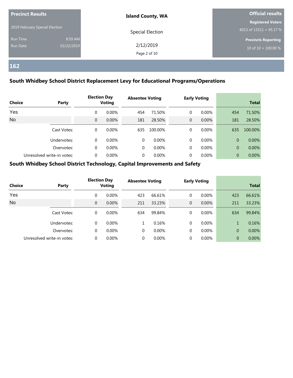| <b>Precinct Results</b>        |            | <b>Island County, WA</b> | Official results           |  |  |
|--------------------------------|------------|--------------------------|----------------------------|--|--|
|                                |            |                          | <b>Registered Voters</b>   |  |  |
| 2019 February Special Election |            | Special Election         | 6013 of $13311 = 45.17 %$  |  |  |
| Run Time                       | 8:59 AM    |                          | <b>Precincts Reporting</b> |  |  |
| Run Date                       | 02/22/2019 | 2/12/2019                | 10 of $10 = 100.00 %$      |  |  |
|                                |            | Page 2 of 10             |                            |  |  |

#### **South Whidbey School District Replacement Levy for Educational Programs/Operations**

| <b>Choice</b> | Party                      |          | <b>Election Day</b><br>Voting | <b>Absentee Voting</b> |          |   | <b>Early Voting</b> |                | <b>Total</b> |
|---------------|----------------------------|----------|-------------------------------|------------------------|----------|---|---------------------|----------------|--------------|
| Yes           |                            | 0        | $0.00\%$                      | 454                    | 71.50%   | 0 | $0.00\%$            | 454            | 71.50%       |
| <b>No</b>     |                            | $\Omega$ | 0.00%                         | 181                    | 28.50%   | 0 | $0.00\%$            | 181            | 28.50%       |
|               | Cast Votes:                | 0        | $0.00\%$                      | 635                    | 100.00%  | 0 | $0.00\%$            | 635            | 100.00%      |
|               | Undervotes:                | 0        | $0.00\%$                      | 0                      | 0.00%    | 0 | 0.00%               | $\Omega$       | $0.00\%$     |
|               | Overvotes:                 | 0        | 0.00%                         | 0                      | 0.00%    | 0 | 0.00%               | $\overline{0}$ | 0.00%        |
|               | Unresolved write-in votes: | 0        | 0.00%                         | 0                      | $0.00\%$ | 0 | $0.00\%$            | $\Omega$       | 0.00%        |

| <b>Choice</b> | Party                      |          | <b>Election Day</b><br><b>Voting</b> | <b>Absentee Voting</b> |          |              | <b>Early Voting</b> |                | <b>Total</b> |
|---------------|----------------------------|----------|--------------------------------------|------------------------|----------|--------------|---------------------|----------------|--------------|
| Yes           |                            | $\Omega$ | $0.00\%$                             | 423                    | 66.61%   | 0            | $0.00\%$            | 423            | 66.61%       |
| <b>No</b>     |                            | $\Omega$ | 0.00%                                | 211                    | 33.23%   | $\mathbf{0}$ | 0.00%               | 211            | 33.23%       |
|               | Cast Votes:                | $\Omega$ | $0.00\%$                             | 634                    | 99.84%   | $\Omega$     | $0.00\%$            | 634            | 99.84%       |
|               | Undervotes:                | $\Omega$ | $0.00\%$                             | 1                      | 0.16%    | $\Omega$     | $0.00\%$            | $\mathbf{1}$   | 0.16%        |
|               | Overvotes:                 | $\Omega$ | $0.00\%$                             | $\Omega$               | 0.00%    | $\Omega$     | 0.00%               | $\overline{0}$ | 0.00%        |
|               | Unresolved write-in votes: |          | $0.00\%$                             |                        | $0.00\%$ |              | $0.00\%$            | $\overline{0}$ | 0.00%        |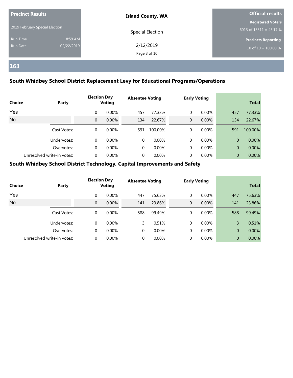| <b>Precinct Results</b>        |            | <b>Island County, WA</b> | Official results           |  |  |
|--------------------------------|------------|--------------------------|----------------------------|--|--|
|                                |            |                          | <b>Registered Voters</b>   |  |  |
| 2019 February Special Election |            | Special Election         | 6013 of $13311 = 45.17 %$  |  |  |
| Run Time                       | 8:59 AM    |                          | <b>Precincts Reporting</b> |  |  |
| Run Date                       | 02/22/2019 | 2/12/2019                | 10 of $10 = 100.00 %$      |  |  |
|                                |            | Page 3 of 10             |                            |  |  |

#### **South Whidbey School District Replacement Levy for Educational Programs/Operations**

| <b>Choice</b> | Party                      |          | <b>Election Day</b><br><b>Voting</b> | <b>Absentee Voting</b> |          |   | <b>Early Voting</b> |          | <b>Total</b> |
|---------------|----------------------------|----------|--------------------------------------|------------------------|----------|---|---------------------|----------|--------------|
| Yes           |                            | 0        | $0.00\%$                             | 457                    | 77.33%   | 0 | $0.00\%$            | 457      | 77.33%       |
| <b>No</b>     |                            | $\Omega$ | 0.00%                                | 134                    | 22.67%   | 0 | $0.00\%$            | 134      | 22.67%       |
|               | Cast Votes:                | 0        | 0.00%                                | 591                    | 100.00%  | 0 | $0.00\%$            | 591      | 100.00%      |
|               | Undervotes:                | 0        | $0.00\%$                             | 0                      | 0.00%    | 0 | 0.00%               | $\Omega$ | $0.00\%$     |
|               | Overvotes:                 | 0        | 0.00%                                | 0                      | 0.00%    | 0 | 0.00%               | $\Omega$ | 0.00%        |
|               | Unresolved write-in votes: | 0        | 0.00%                                | 0                      | $0.00\%$ | 0 | $0.00\%$            | $\Omega$ | 0.00%        |

| <b>Choice</b> | Party                      |          | <b>Election Day</b><br><b>Voting</b> | <b>Absentee Voting</b> |          |              | <b>Early Voting</b> |                | <b>Total</b> |
|---------------|----------------------------|----------|--------------------------------------|------------------------|----------|--------------|---------------------|----------------|--------------|
| Yes           |                            | $\Omega$ | $0.00\%$                             | 447                    | 75.63%   | 0            | $0.00\%$            | 447            | 75.63%       |
| <b>No</b>     |                            | $\Omega$ | 0.00%                                | 141                    | 23.86%   | $\mathbf{0}$ | 0.00%               | 141            | 23.86%       |
|               | Cast Votes:                | $\Omega$ | $0.00\%$                             | 588                    | 99.49%   | $\Omega$     | $0.00\%$            | 588            | 99.49%       |
|               | Undervotes:                | $\Omega$ | $0.00\%$                             | 3                      | 0.51%    | $\Omega$     | $0.00\%$            | 3              | 0.51%        |
|               | Overvotes:                 | $\Omega$ | $0.00\%$                             | $\Omega$               | 0.00%    | $\Omega$     | 0.00%               | $\overline{0}$ | 0.00%        |
|               | Unresolved write-in votes: |          | $0.00\%$                             |                        | $0.00\%$ |              | $0.00\%$            | $\overline{0}$ | 0.00%        |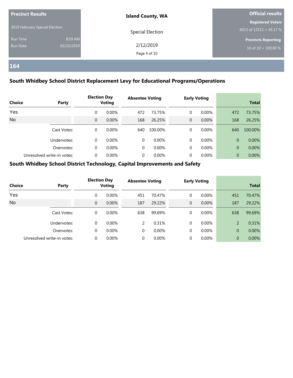| <b>Precinct Results</b>        |            | <b>Island County, WA</b> | Official results           |  |  |
|--------------------------------|------------|--------------------------|----------------------------|--|--|
|                                |            |                          | <b>Registered Voters</b>   |  |  |
| 2019 February Special Election |            | Special Election         | 6013 of $13311 = 45.17 %$  |  |  |
| Run Time                       | 8:59 AM    |                          | <b>Precincts Reporting</b> |  |  |
| Run Date                       | 02/22/2019 | 2/12/2019                | $10$ of $10 = 100.00 %$    |  |  |
|                                |            | Page 4 of 10             |                            |  |  |

#### **South Whidbey School District Replacement Levy for Educational Programs/Operations**

| <b>Choice</b> | Party                      |          | <b>Election Day</b><br>Voting | <b>Absentee Voting</b> |         |   | <b>Early Voting</b> |                | <b>Total</b> |
|---------------|----------------------------|----------|-------------------------------|------------------------|---------|---|---------------------|----------------|--------------|
| Yes           |                            | $\Omega$ | $0.00\%$                      | 472                    | 73.75%  | 0 | $0.00\%$            | 472            | 73.75%       |
| No            |                            | $\Omega$ | 0.00%                         | 168                    | 26.25%  | 0 | $0.00\%$            | 168            | 26.25%       |
|               | Cast Votes:                | 0        | $0.00\%$                      | 640                    | 100.00% | 0 | $0.00\%$            | 640            | 100.00%      |
|               | Undervotes:                | 0        | $0.00\%$                      | 0                      | 0.00%   | 0 | 0.00%               | $\Omega$       | $0.00\%$     |
|               | Overvotes:                 | 0        | 0.00%                         | 0                      | 0.00%   | 0 | 0.00%               | $\overline{0}$ | 0.00%        |
|               | Unresolved write-in votes: | 0        | $0.00\%$                      | 0                      | 0.00%   | 0 | $0.00\%$            | $\Omega$       | 0.00%        |

| <b>Choice</b> | Party                      |          | <b>Election Day</b><br><b>Voting</b> | <b>Absentee Voting</b> |          |                | <b>Early Voting</b> |                | <b>Total</b> |
|---------------|----------------------------|----------|--------------------------------------|------------------------|----------|----------------|---------------------|----------------|--------------|
| Yes           |                            | $\Omega$ | $0.00\%$                             | 451                    | 70.47%   | 0              | $0.00\%$            | 451            | 70.47%       |
| <b>No</b>     |                            | $\Omega$ | 0.00%                                | 187                    | 29.22%   | $\overline{0}$ | 0.00%               | 187            | 29.22%       |
|               | Cast Votes:                | $\Omega$ | $0.00\%$                             | 638                    | 99.69%   | 0              | $0.00\%$            | 638            | 99.69%       |
|               | Undervotes:                | $\Omega$ | $0.00\%$                             | 2                      | 0.31%    | $\Omega$       | $0.00\%$            | 2              | 0.31%        |
|               | Overvotes:                 | $\Omega$ | $0.00\%$                             | 0                      | 0.00%    | 0              | 0.00%               | $\overline{0}$ | 0.00%        |
|               | Unresolved write-in votes: |          | $0.00\%$                             | 0                      | $0.00\%$ | 0              | $0.00\%$            | $\overline{0}$ | $0.00\%$     |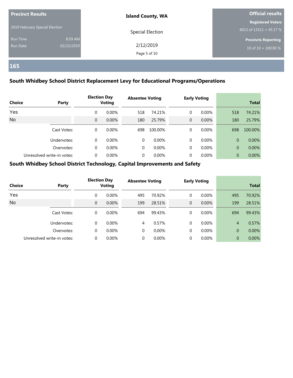| <b>Precinct Results</b><br>2019 February Special Election |                       | <b>Island County, WA</b>  | <b>Official results</b>                               |  |  |
|-----------------------------------------------------------|-----------------------|---------------------------|-------------------------------------------------------|--|--|
|                                                           |                       | Special Election          | <b>Registered Voters</b><br>6013 of $13311 = 45.17 %$ |  |  |
| Run Time<br>Run Date                                      | 8:59 AM<br>02/22/2019 | 2/12/2019<br>Page 5 of 10 | <b>Precincts Reporting</b><br>$10$ of $10 = 100.00\%$ |  |  |

#### **South Whidbey School District Replacement Levy for Educational Programs/Operations**

| <b>Choice</b> | Party                      |          | <b>Election Day</b><br>Voting | <b>Absentee Voting</b> |         |   | <b>Early Voting</b> |                | <b>Total</b> |
|---------------|----------------------------|----------|-------------------------------|------------------------|---------|---|---------------------|----------------|--------------|
| Yes           |                            | 0        | $0.00\%$                      | 518                    | 74.21%  | 0 | $0.00\%$            | 518            | 74.21%       |
| No            |                            | $\Omega$ | 0.00%                         | 180                    | 25.79%  | 0 | $0.00\%$            | 180            | 25.79%       |
|               | Cast Votes:                | 0        | $0.00\%$                      | 698                    | 100.00% | 0 | $0.00\%$            | 698            | 100.00%      |
|               | Undervotes:                | 0        | $0.00\%$                      | 0                      | 0.00%   | 0 | 0.00%               | $\Omega$       | $0.00\%$     |
|               | Overvotes:                 | 0        | 0.00%                         | 0                      | 0.00%   | 0 | 0.00%               | $\overline{0}$ | 0.00%        |
|               | Unresolved write-in votes: | 0        | $0.00\%$                      | 0                      | 0.00%   | 0 | $0.00\%$            | $\Omega$       | 0.00%        |

| <b>Choice</b> | Party                      |          | <b>Election Day</b><br><b>Voting</b> | <b>Absentee Voting</b> |          |                | <b>Early Voting</b> |                | <b>Total</b> |
|---------------|----------------------------|----------|--------------------------------------|------------------------|----------|----------------|---------------------|----------------|--------------|
| Yes           |                            | $\Omega$ | $0.00\%$                             | 495                    | 70.92%   | 0              | $0.00\%$            | 495            | 70.92%       |
| <b>No</b>     |                            | $\Omega$ | 0.00%                                | 199                    | 28.51%   | $\overline{0}$ | 0.00%               | 199            | 28.51%       |
|               | Cast Votes:                | $\Omega$ | $0.00\%$                             | 694                    | 99.43%   | 0              | $0.00\%$            | 694            | 99.43%       |
|               | Undervotes:                | $\Omega$ | $0.00\%$                             | 4                      | 0.57%    | $\Omega$       | $0.00\%$            | $\overline{4}$ | 0.57%        |
|               | Overvotes:                 | $\Omega$ | 0.00%                                | 0                      | 0.00%    | 0              | 0.00%               | $\overline{0}$ | 0.00%        |
|               | Unresolved write-in votes: |          | $0.00\%$                             | 0                      | $0.00\%$ | 0              | $0.00\%$            | $\overline{0}$ | 0.00%        |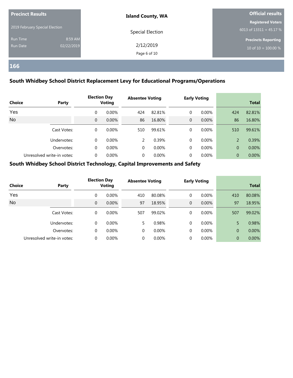| <b>Precinct Results</b>        |            | <b>Island County, WA</b> | Official results           |  |  |
|--------------------------------|------------|--------------------------|----------------------------|--|--|
|                                |            |                          | <b>Registered Voters</b>   |  |  |
| 2019 February Special Election |            | Special Election         | 6013 of $13311 = 45.17 %$  |  |  |
| Run Time                       | 8:59 AM    |                          | <b>Precincts Reporting</b> |  |  |
| Run Date                       | 02/22/2019 | 2/12/2019                | $10$ of $10 = 100.00 %$    |  |  |
|                                |            | Page 6 of 10             |                            |  |  |

#### **South Whidbey School District Replacement Levy for Educational Programs/Operations**

| <b>Choice</b> | Party                      |          | <b>Election Day</b><br>Voting | <b>Absentee Voting</b> |          |   | <b>Early Voting</b> |                | <b>Total</b> |
|---------------|----------------------------|----------|-------------------------------|------------------------|----------|---|---------------------|----------------|--------------|
| Yes           |                            | 0        | $0.00\%$                      | 424                    | 82.81%   | 0 | $0.00\%$            | 424            | 82.81%       |
| <b>No</b>     |                            | $\Omega$ | 0.00%                         | 86                     | 16.80%   | 0 | $0.00\%$            | 86             | 16.80%       |
|               | Cast Votes:                | 0        | 0.00%                         | 510                    | 99.61%   | 0 | $0.00\%$            | 510            | 99.61%       |
|               | Undervotes:                | 0        | $0.00\%$                      | $\mathcal{P}$          | 0.39%    | 0 | 0.00%               | $\overline{2}$ | 0.39%        |
|               | Overvotes:                 | 0        | 0.00%                         | 0                      | 0.00%    | 0 | 0.00%               | $\Omega$       | 0.00%        |
|               | Unresolved write-in votes: | 0        | 0.00%                         | 0                      | $0.00\%$ | 0 | $0.00\%$            | $\overline{0}$ | 0.00%        |

| <b>Choice</b> | Party                      |          | <b>Election Day</b><br><b>Voting</b> | <b>Absentee Voting</b> |          |                | <b>Early Voting</b> |                | <b>Total</b> |
|---------------|----------------------------|----------|--------------------------------------|------------------------|----------|----------------|---------------------|----------------|--------------|
| Yes           |                            | $\Omega$ | $0.00\%$                             | 410                    | 80.08%   | 0              | $0.00\%$            | 410            | 80.08%       |
| <b>No</b>     |                            | $\Omega$ | 0.00%                                | 97                     | 18.95%   | $\overline{0}$ | 0.00%               | 97             | 18.95%       |
|               | Cast Votes:                | $\Omega$ | $0.00\%$                             | 507                    | 99.02%   | 0              | $0.00\%$            | 507            | 99.02%       |
|               | Undervotes:                | $\Omega$ | $0.00\%$                             | 5.                     | 0.98%    | 0              | $0.00\%$            | 5              | 0.98%        |
|               | Overvotes:                 | $\Omega$ | 0.00%                                | 0                      | 0.00%    | 0              | 0.00%               | $\overline{0}$ | 0.00%        |
|               | Unresolved write-in votes: |          | $0.00\%$                             | 0                      | $0.00\%$ | 0              | $0.00\%$            | $\overline{0}$ | 0.00%        |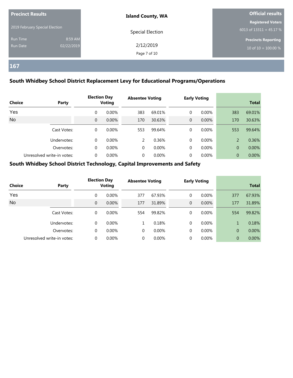| <b>Precinct Results</b>        |            | <b>Island County, WA</b> | Official results           |  |  |
|--------------------------------|------------|--------------------------|----------------------------|--|--|
|                                |            |                          | <b>Registered Voters</b>   |  |  |
| 2019 February Special Election |            | Special Election         | 6013 of $13311 = 45.17 %$  |  |  |
| Run Time                       | 8:59 AM    |                          | <b>Precincts Reporting</b> |  |  |
| Run Date                       | 02/22/2019 | 2/12/2019                | 10 of $10 = 100.00 %$      |  |  |
|                                |            | Page 7 of 10             |                            |  |  |

#### **South Whidbey School District Replacement Levy for Educational Programs/Operations**

| <b>Choice</b> | Party                      |          | <b>Election Day</b><br>Voting | <b>Absentee Voting</b> |          |   | <b>Early Voting</b> |                | <b>Total</b> |
|---------------|----------------------------|----------|-------------------------------|------------------------|----------|---|---------------------|----------------|--------------|
| Yes           |                            | 0        | $0.00\%$                      | 383                    | 69.01%   | 0 | $0.00\%$            | 383            | 69.01%       |
| <b>No</b>     |                            | $\Omega$ | 0.00%                         | 170                    | 30.63%   | 0 | $0.00\%$            | 170            | 30.63%       |
|               | Cast Votes:                | 0        | $0.00\%$                      | 553                    | 99.64%   | 0 | $0.00\%$            | 553            | 99.64%       |
|               | Undervotes:                | 0        | 0.00%                         | $\mathcal{P}$          | 0.36%    | 0 | 0.00%               | $\overline{2}$ | 0.36%        |
|               | Overvotes:                 | 0        | 0.00%                         | 0                      | 0.00%    | 0 | 0.00%               | $\Omega$       | 0.00%        |
|               | Unresolved write-in votes: | 0        | 0.00%                         | 0                      | $0.00\%$ | 0 | $0.00\%$            | $\overline{0}$ | 0.00%        |

| <b>Choice</b> | Party                      |          | <b>Election Day</b><br><b>Voting</b> | <b>Absentee Voting</b> |          |                | <b>Early Voting</b> |                | <b>Total</b> |
|---------------|----------------------------|----------|--------------------------------------|------------------------|----------|----------------|---------------------|----------------|--------------|
| Yes           |                            | $\Omega$ | $0.00\%$                             | 377                    | 67.93%   | 0              | $0.00\%$            | 377            | 67.93%       |
| <b>No</b>     |                            | $\Omega$ | 0.00%                                | 177                    | 31.89%   | $\overline{0}$ | $0.00\%$            | 177            | 31.89%       |
|               | Cast Votes:                | $\Omega$ | $0.00\%$                             | 554                    | 99.82%   | 0              | $0.00\%$            | 554            | 99.82%       |
|               | Undervotes:                | $\Omega$ | $0.00\%$                             | 1                      | 0.18%    | $\Omega$       | $0.00\%$            | $\mathbf{1}$   | 0.18%        |
|               | Overvotes:                 | $\Omega$ | $0.00\%$                             | $\Omega$               | 0.00%    | 0              | 0.00%               | 0              | 0.00%        |
|               | Unresolved write-in votes: | 0        | $0.00\%$                             | $\Omega$               | $0.00\%$ | $\Omega$       | $0.00\%$            | $\overline{0}$ | $0.00\%$     |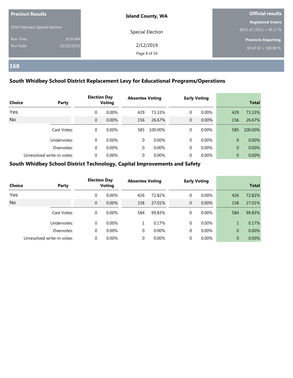| <b>Precinct Results</b><br>2019 February Special Election |                       | <b>Island County, WA</b>  | <b>Official results</b>                               |  |  |
|-----------------------------------------------------------|-----------------------|---------------------------|-------------------------------------------------------|--|--|
|                                                           |                       | Special Election          | <b>Registered Voters</b><br>6013 of $13311 = 45.17 %$ |  |  |
| Run Time<br>Run Date                                      | 8:59 AM<br>02/22/2019 | 2/12/2019<br>Page 8 of 10 | <b>Precincts Reporting</b><br>$10$ of $10 = 100.00 %$ |  |  |

#### **South Whidbey School District Replacement Levy for Educational Programs/Operations**

| <b>Choice</b> | Party                      |          | <b>Election Day</b><br>Voting | <b>Absentee Voting</b> |         |   | <b>Early Voting</b> |                | <b>Total</b> |
|---------------|----------------------------|----------|-------------------------------|------------------------|---------|---|---------------------|----------------|--------------|
| Yes           |                            | $\Omega$ | $0.00\%$                      | 429                    | 73.33%  | 0 | $0.00\%$            | 429            | 73.33%       |
| No            |                            | $\Omega$ | 0.00%                         | 156                    | 26.67%  | 0 | $0.00\%$            | 156            | 26.67%       |
|               | Cast Votes:                | 0        | $0.00\%$                      | 585                    | 100.00% | 0 | $0.00\%$            | 585            | 100.00%      |
|               | Undervotes:                | 0        | $0.00\%$                      | 0                      | 0.00%   | 0 | 0.00%               | $\Omega$       | $0.00\%$     |
|               | Overvotes:                 | 0        | 0.00%                         | 0                      | 0.00%   | 0 | 0.00%               | $\overline{0}$ | 0.00%        |
|               | Unresolved write-in votes: | 0        | $0.00\%$                      | 0                      | 0.00%   | 0 | $0.00\%$            | $\Omega$       | 0.00%        |

| <b>Choice</b> | Party                      |          | <b>Election Day</b><br><b>Voting</b> | <b>Absentee Voting</b> |          |          | <b>Early Voting</b> |                | <b>Total</b> |
|---------------|----------------------------|----------|--------------------------------------|------------------------|----------|----------|---------------------|----------------|--------------|
| Yes           |                            | $\Omega$ | $0.00\%$                             | 426                    | 72.82%   | 0        | $0.00\%$            | 426            | 72.82%       |
| <b>No</b>     |                            | $\Omega$ | $0.00\%$                             | 158                    | 27.01%   | 0        | 0.00%               | 158            | 27.01%       |
|               | Cast Votes:                | $\Omega$ | $0.00\%$                             | 584                    | 99.83%   | 0        | $0.00\%$            | 584            | 99.83%       |
|               | Undervotes:                | $\Omega$ | $0.00\%$                             |                        | 0.17%    | $\Omega$ | $0.00\%$            | $\mathbf{1}$   | 0.17%        |
|               | Overvotes:                 | $\Omega$ | $0.00\%$                             | 0                      | 0.00%    | 0        | 0.00%               | $\overline{0}$ | 0.00%        |
|               | Unresolved write-in votes: |          | $0.00\%$                             | 0                      | $0.00\%$ | 0        | $0.00\%$            | $\overline{0}$ | $0.00\%$     |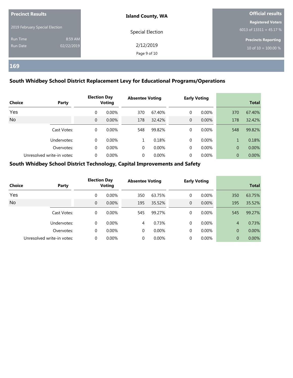| <b>Precinct Results</b>        |                       | <b>Island County, WA</b>  | <b>Official results</b>                               |  |  |
|--------------------------------|-----------------------|---------------------------|-------------------------------------------------------|--|--|
| 2019 February Special Election |                       | Special Election          | <b>Registered Voters</b><br>6013 of $13311 = 45.17 %$ |  |  |
| Run Time<br>Run Date           | 8:59 AM<br>02/22/2019 | 2/12/2019<br>Page 9 of 10 | <b>Precincts Reporting</b><br>$10$ of $10 = 100.00 %$ |  |  |

#### **South Whidbey School District Replacement Levy for Educational Programs/Operations**

| <b>Choice</b> | Party                      |          | <b>Election Day</b><br><b>Voting</b> | <b>Absentee Voting</b> |          |   | <b>Early Voting</b> |                | <b>Total</b> |
|---------------|----------------------------|----------|--------------------------------------|------------------------|----------|---|---------------------|----------------|--------------|
| Yes           |                            | $\Omega$ | $0.00\%$                             | 370                    | 67.40%   | 0 | $0.00\%$            | 370            | 67.40%       |
| <b>No</b>     |                            | $\Omega$ | 0.00%                                | 178                    | 32.42%   | 0 | $0.00\%$            | 178            | 32.42%       |
|               | Cast Votes:                | 0        | $0.00\%$                             | 548                    | 99.82%   | 0 | 0.00%               | 548            | 99.82%       |
|               | Undervotes:                | 0        | $0.00\%$                             |                        | 0.18%    | 0 | $0.00\%$            |                | 0.18%        |
|               | Overvotes:                 | $\Omega$ | $0.00\%$                             | 0                      | 0.00%    | 0 | 0.00%               | $\overline{0}$ | 0.00%        |
|               | Unresolved write-in votes: | 0        | 0.00%                                | 0                      | $0.00\%$ | 0 | $0.00\%$            | $\Omega$       | $0.00\%$     |

| <b>Choice</b> | Party                      | <b>Election Day</b><br><b>Voting</b> |          | <b>Absentee Voting</b> |          | <b>Early Voting</b> |          | <b>Total</b>   |        |
|---------------|----------------------------|--------------------------------------|----------|------------------------|----------|---------------------|----------|----------------|--------|
| Yes           |                            | $\Omega$                             | $0.00\%$ | 350                    | 63.75%   | 0                   | $0.00\%$ | 350            | 63.75% |
| <b>No</b>     |                            | $\Omega$                             | 0.00%    | 195                    | 35.52%   | $\mathbf{0}$        | 0.00%    | 195            | 35.52% |
|               | Cast Votes:                | $\Omega$                             | $0.00\%$ | 545                    | 99.27%   | $\Omega$            | $0.00\%$ | 545            | 99.27% |
|               | Undervotes:                | $\Omega$                             | $0.00\%$ | 4                      | 0.73%    | $\Omega$            | $0.00\%$ | $\overline{4}$ | 0.73%  |
|               | Overvotes:                 | $\Omega$                             | 0.00%    | $\Omega$               | 0.00%    | $\Omega$            | 0.00%    | $\overline{0}$ | 0.00%  |
|               | Unresolved write-in votes: |                                      | $0.00\%$ |                        | $0.00\%$ |                     | $0.00\%$ | $\overline{0}$ | 0.00%  |